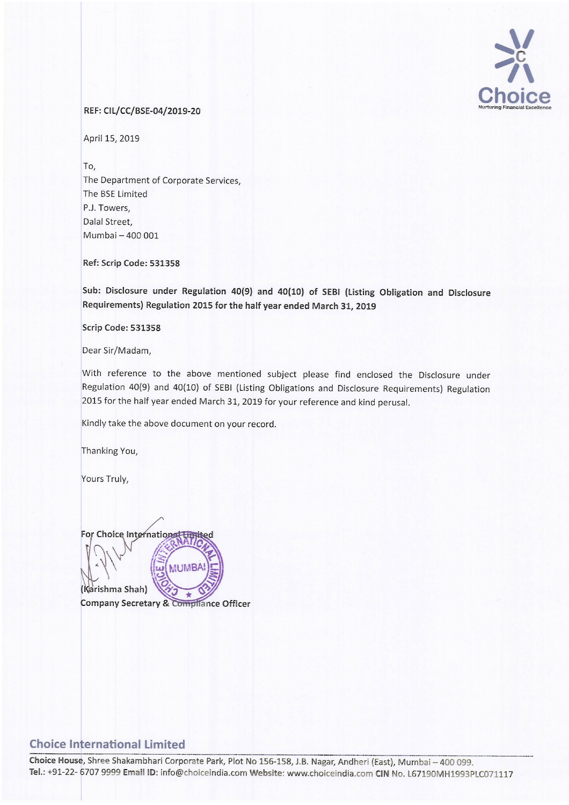

## REF: CIL/CC/BSE-04/2019-20

April 15, 2019

To, The Department of Corporate Services, The BSE Limited P.J. Towers, Dalal Street, Mumbai - 400 001

Ref: Scrip Code: 531.358

Sub: Disclosure under Regulation 40(9) and 40(10) of SEBI (Listing Obligation and Disclosure Requirements) Regulation <sup>2015</sup> for the half year ended March 31, <sup>2019</sup>

Scrip Code: 531358

Dear Sir/Madam,

With reference to the above mentioned subject please find enclosed the Disclosure under Regulation 40(9) and 40(10) of SEBI (Listing Obligations and Disclosure Requirements) Regulation <sup>2015</sup> for the half year ended March 31, <sup>2019</sup> for your reference and kind perusal.

Kindly take the above document on your record.

Thanking You,

Yours Truly,

For Choice International

**MUMBA** (Karishma Shah) ٠ Company Secretary & Compliance Officer

## **Choice International Limited**